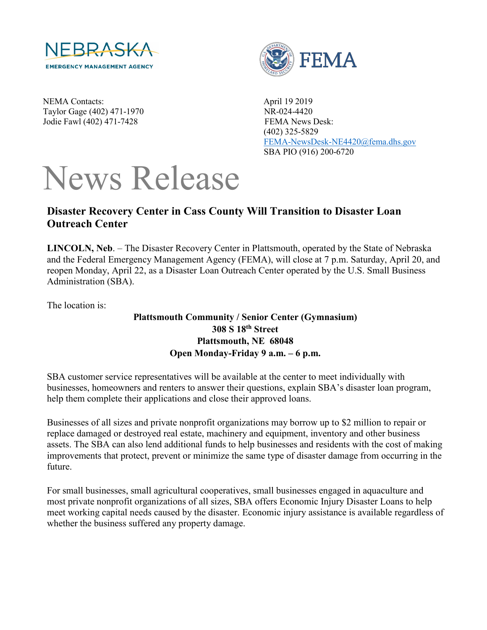

NEMA Contacts: April 19 2019 Taylor Gage (402) 471-1970 NR-024-4420 Jodie Fawl (402) 471-7428 FEMA News Desk:



 (402) 325-5829 [FEMA-NewsDesk-NE4420@fema.dhs.gov](mailto:FEMA-NewsDesk-NE4420@fema.dhs.gov) SBA PIO (916) 200-6720

## News Release

## **Disaster Recovery Center in Cass County Will Transition to Disaster Loan Outreach Center**

**LINCOLN, Neb**. – The Disaster Recovery Center in Plattsmouth, operated by the State of Nebraska and the Federal Emergency Management Agency (FEMA), will close at 7 p.m. Saturday, April 20, and reopen Monday, April 22, as a Disaster Loan Outreach Center operated by the U.S. Small Business Administration (SBA).

The location is:

## **Plattsmouth Community / Senior Center (Gymnasium) [308 S 18th](https://gcc01.safelinks.protection.outlook.com/?url=https%3A%2F%2Fwww.google.com%2Fmaps%2Fplace%2FPlattsmouth%2BCommunity%2BCenter%2F%4041.0077471%2C-95.9024599%2C15z%2Fdata%3D!4m5!3m4!1s0x0%3A0x475b4de342647dec!8m2!3d41.0077471!4d-95.9024599&data=02%7C01%7Cgarth.macdonald%40sba.gov%7Cd9fcf6d03f984937937608d6c41ee6c1%7C3c89fd8a7f684667aa1541ebf2208961%7C1%7C0%7C636912034337076896&sdata=TNrxHweJyXyc0YMwa5ZE5yt44plm1RH5MpvmRSZEGoo%3D&reserved=0) Street Plattsmouth, NE 68048 Open Monday-Friday 9 a.m. – 6 p.m.**

SBA customer service representatives will be available at the center to meet individually with businesses, homeowners and renters to answer their questions, explain SBA's disaster loan program, help them complete their applications and close their approved loans.

Businesses of all sizes and private nonprofit organizations may borrow up to \$2 million to repair or replace damaged or destroyed real estate, machinery and equipment, inventory and other business assets. The SBA can also lend additional funds to help businesses and residents with the cost of making improvements that protect, prevent or minimize the same type of disaster damage from occurring in the future.

For small businesses, small agricultural cooperatives, small businesses engaged in aquaculture and most private nonprofit organizations of all sizes, SBA offers Economic Injury Disaster Loans to help meet working capital needs caused by the disaster. Economic injury assistance is available regardless of whether the business suffered any property damage.